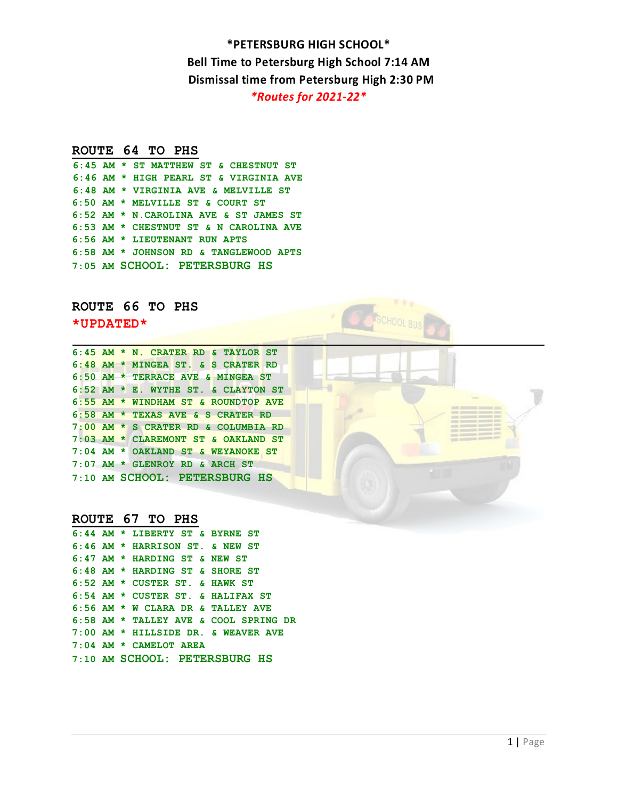# **ROUTE 64 TO PHS**

**6:45 AM \* ST MATTHEW ST & CHESTNUT ST 6:46 AM \* HIGH PEARL ST & VIRGINIA AVE 6:48 AM \* VIRGINIA AVE & MELVILLE ST 6:50 AM \* MELVILLE ST & COURT ST 6:52 AM \* N.CAROLINA AVE & ST JAMES ST 6:53 AM \* CHESTNUT ST & N CAROLINA AVE 6:56 AM \* LIEUTENANT RUN APTS 6:58 AM \* JOHNSON RD & TANGLEWOOD APTS 7:05 AM SCHOOL: PETERSBURG HS** 

# **ROUTE 66 TO PHS**

**\*UPDATED\***

| $6:45$ AM $*$ N. CRATER RD & TAYLOR ST |  |  |  |  |  |
|----------------------------------------|--|--|--|--|--|
| $6:48$ AM * MINGEA ST. & S CRATER RD   |  |  |  |  |  |
| 6:50 AM * TERRACE AVE & MINGEA ST      |  |  |  |  |  |
| 6:52 AM * E. WYTHE ST. & CLAYTON ST    |  |  |  |  |  |
| 6:55 AM * WINDHAM ST & ROUNDTOP AVE    |  |  |  |  |  |
| 6:58 AM * TEXAS AVE & S CRATER RD      |  |  |  |  |  |
| 7:00 AM * S CRATER RD & COLUMBIA RD    |  |  |  |  |  |
| 7:03 AM * CLAREMONT ST & OAKLAND ST    |  |  |  |  |  |
| 7:04 AM * OAKLAND ST & WEYANOKE ST     |  |  |  |  |  |
| $7:07$ AM * GLENROY RD & ARCH ST       |  |  |  |  |  |
| 7:10 AM SCHOOL: PETERSBURG HS          |  |  |  |  |  |

# **ROUTE 67 TO PHS**

|  | 6:44 AM * LIBERTY ST & BYRNE ST       |
|--|---------------------------------------|
|  | 6:46 AM * HARRISON ST. & NEW ST       |
|  | 6:47 AM * HARDING ST & NEW ST         |
|  | 6:48 AM * HARDING ST & SHORE ST       |
|  | $6:52$ AM * CUSTER ST. & HAWK ST      |
|  | 6:54 AM * CUSTER ST. & HALIFAX ST     |
|  | 6:56 AM * W CLARA DR & TALLEY AVE     |
|  | 6:58 AM * TALLEY AVE & COOL SPRING DR |
|  | 7:00 AM * HILLSIDE DR. & WEAVER AVE   |
|  | $7:04$ AM * CAMELOT AREA              |
|  | 7:10 AM SCHOOL: PETERSBURG HS         |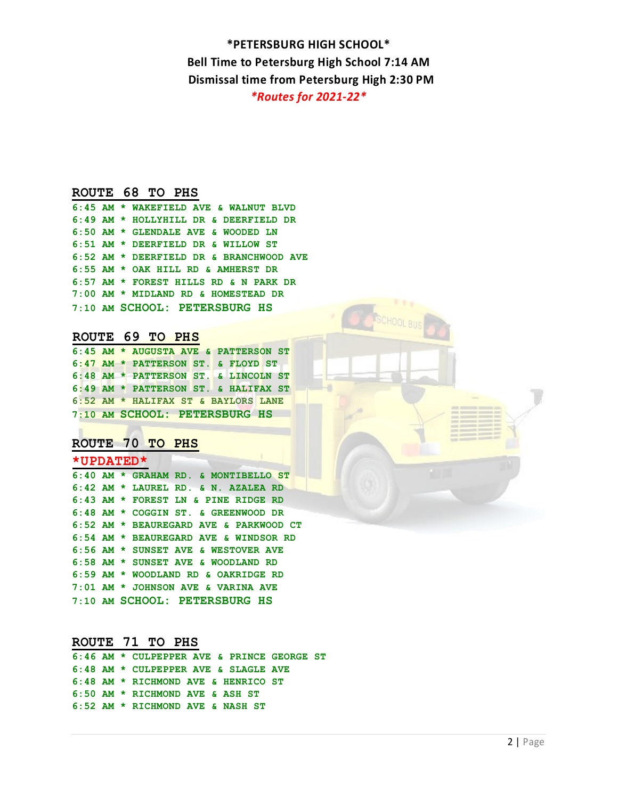HOOL BIL

# **ROUTE 68 TO PHS**

|  | 6:45 AM * WAKEFIELD AVE & WALNUT BLVD   |
|--|-----------------------------------------|
|  | 6:49 AM * HOLLYHILL DR & DEERFIELD DR   |
|  | 6:50 AM * GLENDALE AVE & WOODED LN      |
|  | 6:51 AM * DEERFIELD DR & WILLOW ST      |
|  | 6:52 AM * DEERFIELD DR & BRANCHWOOD AVE |
|  | 6:55 AM * OAK HILL RD & AMHERST DR      |
|  | 6:57 AM * FOREST HILLS RD & N PARK DR   |
|  | 7:00 AM * MIDLAND RD & HOMESTEAD DR     |
|  | 7:10 AM SCHOOL: PETERSBURG HS           |

# **ROUTE 69 TO PHS**

|  |  | 6:45 AM * AUGUSTA AVE & PATTERSON ST |  |
|--|--|--------------------------------------|--|
|  |  | 6:47 AM * PATTERSON ST. & FLOYD ST   |  |
|  |  | 6:48 AM * PATTERSON ST. & LINCOLN ST |  |
|  |  | 6:49 AM * PATTERSON ST. & HALIFAX ST |  |
|  |  | 6:52 AM * HALIFAX ST & BAYLORS LANE  |  |
|  |  | 7:10 AM SCHOOL: PETERSBURG HS        |  |

# **ROUTE 70 TO PHS**

# **\*UPDATED\***

|  | 6:40 AM * GRAHAM RD. & MONTIBELLO ST   |
|--|----------------------------------------|
|  | $6:42$ AM * LAUREL RD. & N. AZALEA RD  |
|  | 6:43 AM * FOREST LN & PINE RIDGE RD    |
|  | 6:48 AM * COGGIN ST. & GREENWOOD DR    |
|  | 6:52 AM * BEAUREGARD AVE & PARKWOOD CT |
|  | 6:54 AM * BEAUREGARD AVE & WINDSOR RD  |
|  | 6:56 AM * SUNSET AVE & WESTOVER AVE    |
|  | 6:58 AM * SUNSET AVE & WOODLAND RD     |
|  | 6:59 AM * WOODLAND RD & OAKRIDGE RD    |
|  | 7:01 AM * JOHNSON AVE & VARINA AVE     |
|  | 7:10 AM SCHOOL: PETERSBURG HS          |

# **ROUTE 71 TO PHS**

|  | 6:46 AM * CULPEPPER AVE & PRINCE GEORGE ST |  |
|--|--------------------------------------------|--|
|  | 6:48 AM * CULPEPPER AVE & SLAGLE AVE       |  |
|  | 6:48 AM * RICHMOND AVE & HENRICO ST        |  |
|  | 6:50 AM * RICHMOND AVE & ASH ST            |  |
|  | 6:52 AM * RICHMOND AVE & NASH ST           |  |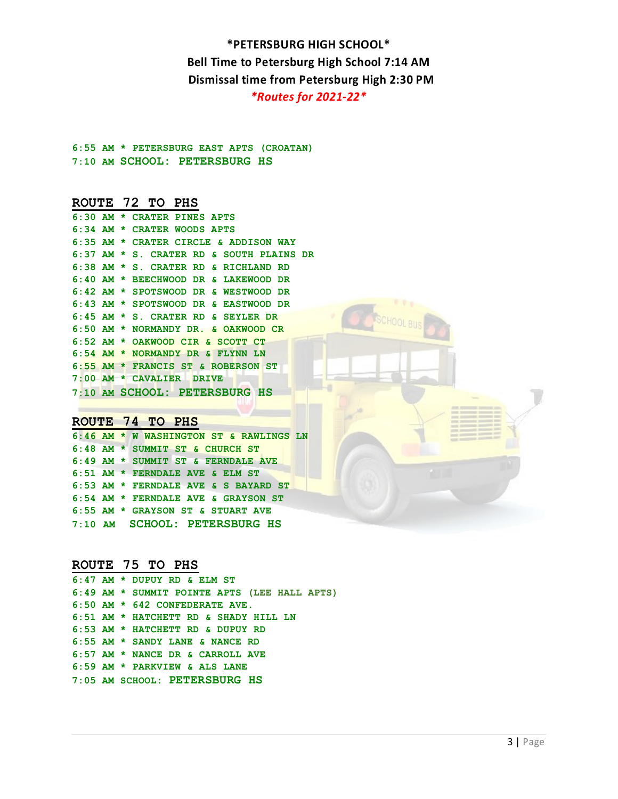# **6:55 AM \* PETERSBURG EAST APTS (CROATAN) 7:10 AM SCHOOL: PETERSBURG HS**

#### **ROUTE 72 TO PHS**

|           |  | 6:30 AM * CRATER PINES APTS              |
|-----------|--|------------------------------------------|
|           |  | $6:34$ AM * CRATER WOODS APTS            |
| $6:35$ AM |  | * CRATER CIRCLE & ADDISON WAY            |
|           |  | 6:37 AM * S. CRATER RD & SOUTH PLAINS DR |
|           |  | 6:38 AM * S. CRATER RD & RICHLAND RD     |
|           |  | 6:40 AM * BEECHWOOD DR & LAKEWOOD DR     |
|           |  | 6:42 AM * SPOTSWOOD DR & WESTWOOD DR     |
|           |  | 6:43 AM * SPOTSWOOD DR & EASTWOOD DR     |
|           |  | $6:45$ AM $*$ S. CRATER RD & SEYLER DR   |
|           |  | 6:50 AM * NORMANDY DR. & OAKWOOD CR      |
|           |  | $6:52$ AM * OAKWOOD CIR & SCOTT CT       |
|           |  | 6:54 AM * NORMANDY DR & FLYNN LN         |
|           |  | 6:55 AM * FRANCIS ST & ROBERSON ST       |
| $7:00$ AM |  | * CAVALIER DRIVE                         |
|           |  | 7:10 AM SCHOOL: PETERSBURG HS            |
|           |  |                                          |

# **ROUTE 74 TO PHS**

**6:46 AM \* W WASHINGTON ST & RAWLINGS LN 6:48 AM \* SUMMIT ST & CHURCH ST 6:49 AM \* SUMMIT ST & FERNDALE AVE 6:51 AM \* FERNDALE AVE & ELM ST 6:53 AM \* FERNDALE AVE & S BAYARD ST 6:54 AM \* FERNDALE AVE & GRAYSON ST 6:55 AM \* GRAYSON ST & STUART AVE 7:10 AM SCHOOL: PETERSBURG HS** 

#### **ROUTE 75 TO PHS**

**6:47 AM \* DUPUY RD & ELM ST 6:49 AM \* SUMMIT POINTE APTS (LEE HALL APTS) 6:50 AM \* 642 CONFEDERATE AVE. 6:51 AM \* HATCHETT RD & SHADY HILL LN 6:53 AM \* HATCHETT RD & DUPUY RD 6:55 AM \* SANDY LANE & NANCE RD 6:57 AM \* NANCE DR & CARROLL AVE 6:59 AM \* PARKVIEW & ALS LANE 7:05 AM SCHOOL: PETERSBURG HS**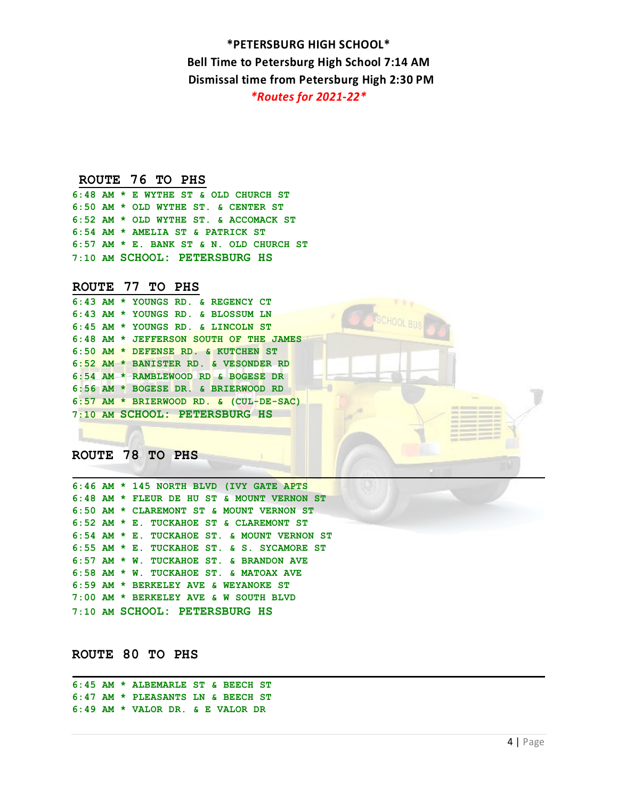## **ROUTE 76 TO PHS**

**6:48 AM \* E WYTHE ST & OLD CHURCH ST 6:50 AM \* OLD WYTHE ST. & CENTER ST 6:52 AM \* OLD WYTHE ST. & ACCOMACK ST 6:54 AM \* AMELIA ST & PATRICK ST 6:57 AM \* E. BANK ST & N. OLD CHURCH ST 7:10 AM SCHOOL: PETERSBURG HS** 

## **ROUTE 77 TO PHS**

|  | 6:43 AM * YOUNGS RD. & REGENCY CT        |
|--|------------------------------------------|
|  | 6:43 AM * YOUNGS RD. & BLOSSUM LN        |
|  | 6:45 AM * YOUNGS RD. & LINCOLN ST        |
|  | 6:48 AM * JEFFERSON SOUTH OF THE JAMES   |
|  | 6:50 AM * DEFENSE RD. & KUTCHEN ST       |
|  | 6:52 AM * BANISTER RD. & VESONDER RD     |
|  | 6:54 AM * RAMBLEWOOD RD & BOGESE DR      |
|  | 6:56 AM * BOGESE DR. & BRIERWOOD RD      |
|  | $6:57$ AM * BRIERWOOD RD. & (CUL-DE-SAC) |
|  | 7:10 AM SCHOOL: PETERSBURG HS            |

**ROUTE 78 TO PHS** 

|  | 6:46 AM * 145 NORTH BLVD (IVY GATE APTS         |
|--|-------------------------------------------------|
|  | 6:48 AM * FLEUR DE HU ST & MOUNT VERNON ST      |
|  | 6:50 AM * CLAREMONT ST & MOUNT VERNON ST        |
|  | $6:52$ AM $*$ E. TUCKAHOE ST & CLAREMONT ST     |
|  | $6:54$ AM $*$ E. TUCKAHOE ST. & MOUNT VERNON ST |
|  | $6:55$ AM $*$ E. TUCKAHOE ST. & S. SYCAMORE ST  |
|  | $6:57$ AM $\star$ W. TUCKAHOE ST. & BRANDON AVE |
|  | 6:58 AM * W. TUCKAHOE ST. & MATOAX AVE          |
|  | 6:59 AM * BERKELEY AVE & WEYANOKE ST            |
|  | 7:00 AM * BERKELEY AVE & W SOUTH BLVD           |
|  | 7:10 AM SCHOOL: PETERSBURG HS                   |

**ROUTE 80 TO PHS**

```
6:45 AM * ALBEMARLE ST & BEECH ST 
6:47 AM * PLEASANTS LN & BEECH ST 
6:49 AM * VALOR DR. & E VALOR DR
```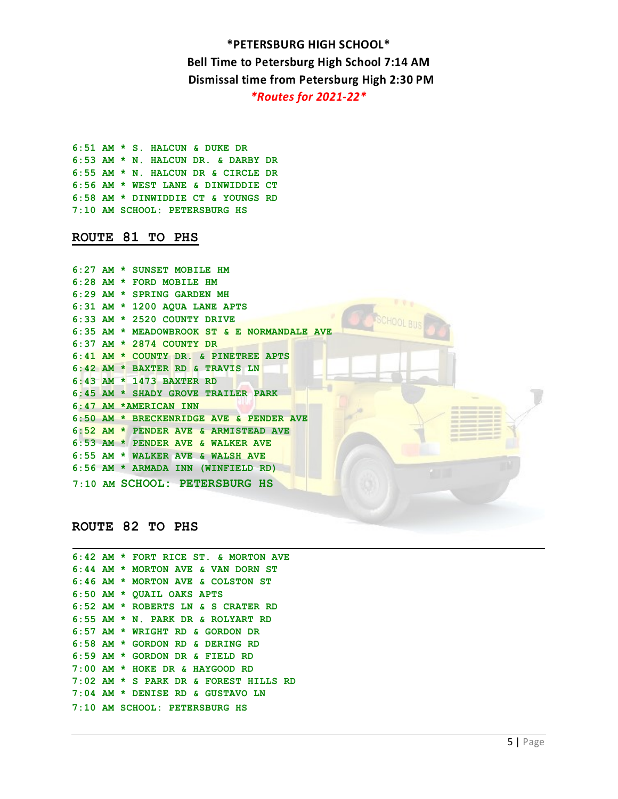**6:51 AM \* S. HALCUN & DUKE DR 6:53 AM \* N. HALCUN DR. & DARBY DR 6:55 AM \* N. HALCUN DR & CIRCLE DR 6:56 AM \* WEST LANE & DINWIDDIE CT 6:58 AM \* DINWIDDIE CT & YOUNGS RD 7:10 AM SCHOOL: PETERSBURG HS**

## **ROUTE 81 TO PHS**

|  | 6:27 AM * SUNSET MOBILE HM                  |
|--|---------------------------------------------|
|  | 6:28 AM * FORD MOBILE HM                    |
|  | 6:29 AM * SPRING GARDEN MH                  |
|  | $6:31$ AM $*$ 1200 AQUA LANE APTS           |
|  | $6:33$ AM $*$ 2520 COUNTY DRIVE             |
|  | 6:35 AM * MEADOWBROOK ST & E NORMANDALE AVE |
|  | $6:37$ AM $\star$ 2874 COUNTY DR            |
|  | 6:41 AM * COUNTY DR. & PINETREE APTS        |
|  | 6:42 AM * BAXTER RD & TRAVIS LN             |
|  | 6:43 AM * 1473 BAXTER RD                    |
|  | 6:45 AM * SHADY GROVE TRAILER PARK          |
|  | 6:47 AM *AMERICAN INN                       |
|  | 6:50 AM * BRECKENRIDGE AVE & PENDER AVE     |
|  | 6:52 AM * PENDER AVE & ARMISTEAD AVE        |
|  | 6:53 AM * PENDER AVE & WALKER AVE           |
|  | 6:55 AM * WALKER AVE & WALSH AVE            |
|  | 6:56 AM * ARMADA INN (WINFIELD RD)          |
|  | 7:10 AM SCHOOL: PETERSBURG HS               |
|  |                                             |
|  |                                             |

# **ROUTE 82 TO PHS**

|  | 6:42 AM * FORT RICE ST. & MORTON AVE  |
|--|---------------------------------------|
|  | 6:44 AM * MORTON AVE & VAN DORN ST    |
|  | 6:46 AM * MORTON AVE & COLSTON ST     |
|  | 6:50 AM * QUAIL OAKS APTS             |
|  | 6:52 AM * ROBERTS LN & S CRATER RD    |
|  | 6:55 AM * N. PARK DR & ROLYART RD     |
|  | 6:57 AM * WRIGHT RD & GORDON DR       |
|  | 6:58 AM * GORDON RD & DERING RD       |
|  | 6:59 AM * GORDON DR & FIELD RD        |
|  | $7:00$ AM * HOKE DR & HAYGOOD RD      |
|  | 7:02 AM * S PARK DR & FOREST HILLS RD |
|  | 7:04 AM * DENISE RD & GUSTAVO LN      |
|  | 7:10 AM SCHOOL: PETERSBURG HS         |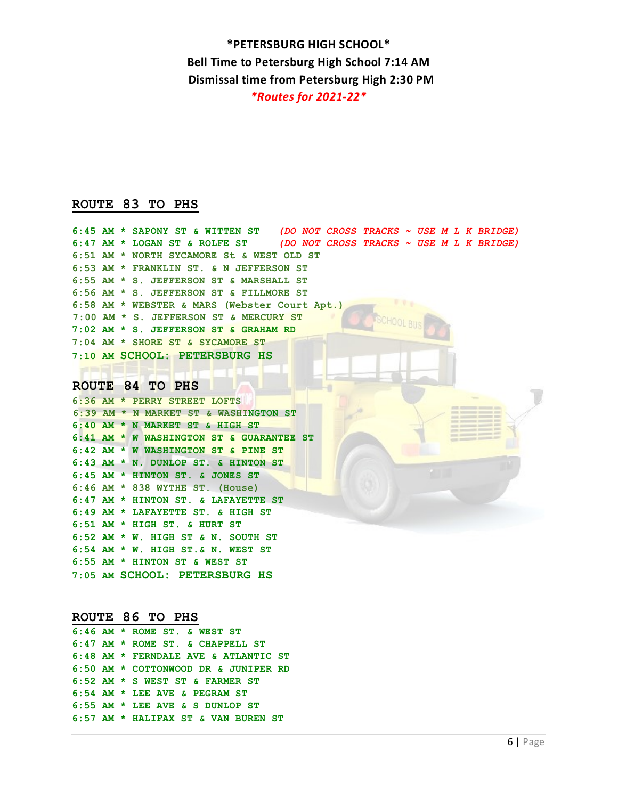## **ROUTE 83 TO PHS**

|  | 6:45 AM * SAPONY ST & WITTEN ST (DO NOT CROSS TRACKS $\sim$ USE M L K BRIDGE) |
|--|-------------------------------------------------------------------------------|
|  | $6:47$ AM * LOGAN ST & ROLFE ST (DO NOT CROSS TRACKS ~ USE M L K BRIDGE)      |
|  | 6:51 AM * NORTH SYCAMORE St & WEST OLD ST                                     |
|  | 6:53 AM * FRANKLIN ST. & N JEFFERSON ST                                       |
|  | 6:55 AM * S. JEFFERSON ST & MARSHALL ST                                       |
|  | 6:56 AM * S. JEFFERSON ST & FILLMORE ST                                       |
|  | 6:58 AM * WEBSTER & MARS (Webster Court Apt.)                                 |
|  | 7:00 AM * S. JEFFERSON ST & MERCURY ST                                        |
|  | 7:02 AM * S. JEFFERSON ST & GRAHAM RD                                         |
|  | $7:04$ AM * SHORE ST & SYCAMORE ST                                            |
|  | 7:10 AM SCHOOL: PETERSBURG HS                                                 |
|  |                                                                               |
|  | ROUTE 84 TO PHS                                                               |

**6:36 AM \* PERRY STREET LOFTS 6:39 AM \* N MARKET ST & WASHINGTON ST 6:40 AM \* N MARKET ST & HIGH ST 6:41 AM \* W WASHINGTON ST & GUARANTEE ST 6:42 AM \* W WASHINGTON ST & PINE ST 6:43 AM \* N. DUNLOP ST. & HINTON ST 6:45 AM \* HINTON ST. & JONES ST 6:46 AM \* 838 WYTHE ST. (House) 6:47 AM \* HINTON ST. & LAFAYETTE ST 6:49 AM \* LAFAYETTE ST. & HIGH ST 6:51 AM \* HIGH ST. & HURT ST 6:52 AM \* W. HIGH ST & N. SOUTH ST 6:54 AM \* W. HIGH ST.& N. WEST ST 6:55 AM \* HINTON ST & WEST ST 7:05 AM SCHOOL: PETERSBURG HS** 

## **ROUTE 86 TO PHS**

|  | $6:46$ AM * ROME ST. & WEST ST       |
|--|--------------------------------------|
|  | $6:47$ AM * ROME ST. & CHAPPELL ST   |
|  | 6:48 AM * FERNDALE AVE & ATLANTIC ST |
|  | 6:50 AM * COTTONWOOD DR & JUNIPER RD |
|  | $6:52$ AM $*$ S WEST ST & FARMER ST  |
|  | $6:54$ AM * LEE AVE & PEGRAM ST      |
|  | $6:55$ AM $*$ LEE AVE & S DUNLOP ST  |
|  | 6:57 AM * HALIFAX ST & VAN BUREN ST  |